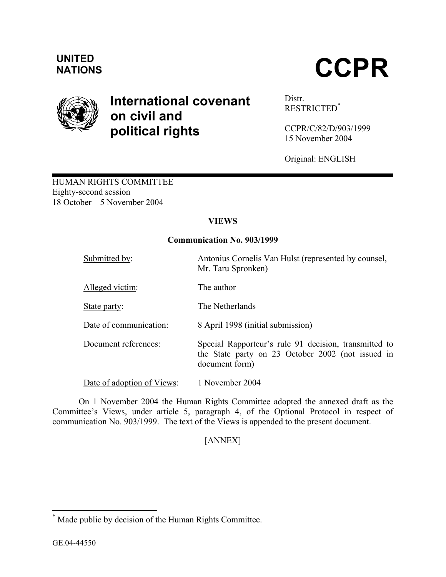

# **International covenant on civil and political rights**

Distr. RESTRICTED\*

CCPR/C/82/D/903/1999 15 November 2004

Original: ENGLISH

HUMAN RIGHTS COMMITTEE Eighty-second session 18 October – 5 November 2004

# **VIEWS**

## **Communication No. 903/1999**

| Submitted by:              | Antonius Cornelis Van Hulst (represented by counsel,<br>Mr. Taru Spronken)                                                   |
|----------------------------|------------------------------------------------------------------------------------------------------------------------------|
| Alleged victim:            | The author                                                                                                                   |
| State party:               | The Netherlands                                                                                                              |
| Date of communication:     | 8 April 1998 (initial submission)                                                                                            |
| Document references:       | Special Rapporteur's rule 91 decision, transmitted to<br>the State party on 23 October 2002 (not issued in<br>document form) |
| Date of adoption of Views: | 1 November 2004                                                                                                              |

 On 1 November 2004 the Human Rights Committee adopted the annexed draft as the Committee's Views, under article 5, paragraph 4, of the Optional Protocol in respect of communication No. 903/1999. The text of the Views is appended to the present document.

# [ANNEX]

 \* Made public by decision of the Human Rights Committee.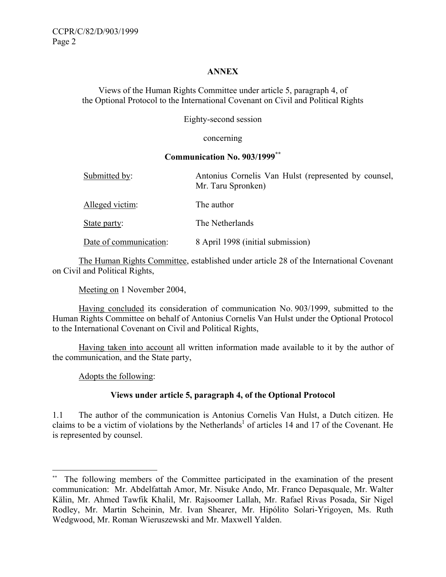#### **ANNEX**

Views of the Human Rights Committee under article 5, paragraph 4, of the Optional Protocol to the International Covenant on Civil and Political Rights

Eighty-second session

concerning

#### **Communication No. 903/1999\*\***

| Submitted by:          | Antonius Cornelis Van Hulst (represented by counsel,<br>Mr. Taru Spronken) |
|------------------------|----------------------------------------------------------------------------|
| Alleged victim:        | The author                                                                 |
| State party:           | The Netherlands                                                            |
| Date of communication: | 8 April 1998 (initial submission)                                          |

 The Human Rights Committee, established under article 28 of the International Covenant on Civil and Political Rights,

Meeting on 1 November 2004,

 Having concluded its consideration of communication No. 903/1999, submitted to the Human Rights Committee on behalf of Antonius Cornelis Van Hulst under the Optional Protocol to the International Covenant on Civil and Political Rights,

 Having taken into account all written information made available to it by the author of the communication, and the State party,

Adopts the following:

 $\overline{a}$ 

## **Views under article 5, paragraph 4, of the Optional Protocol**

1.1 The author of the communication is Antonius Cornelis Van Hulst, a Dutch citizen. He claims to be a victim of violations by the Netherlands<sup>1</sup> of articles 14 and 17 of the Covenant. He is represented by counsel.

The following members of the Committee participated in the examination of the present communication: Mr. Abdelfattah Amor, Mr. Nisuke Ando, Mr. Franco Depasquale, Mr. Walter Kälin, Mr. Ahmed Tawfik Khalil, Mr. Rajsoomer Lallah, Mr. Rafael Rivas Posada, Sir Nigel Rodley, Mr. Martin Scheinin, Mr. Ivan Shearer, Mr. Hipólito Solari-Yrigoyen, Ms. Ruth Wedgwood, Mr. Roman Wieruszewski and Mr. Maxwell Yalden.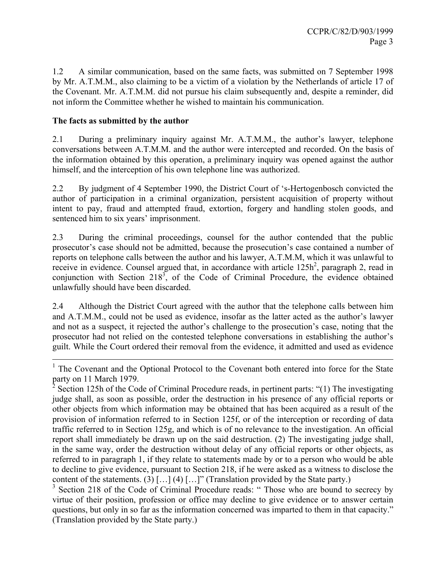1.2 A similar communication, based on the same facts, was submitted on 7 September 1998 by Mr. A.T.M.M., also claiming to be a victim of a violation by the Netherlands of article 17 of the Covenant. Mr. A.T.M.M. did not pursue his claim subsequently and, despite a reminder, did not inform the Committee whether he wished to maintain his communication.

## **The facts as submitted by the author**

2.1 During a preliminary inquiry against Mr. A.T.M.M., the author's lawyer, telephone conversations between A.T.M.M. and the author were intercepted and recorded. On the basis of the information obtained by this operation, a preliminary inquiry was opened against the author himself, and the interception of his own telephone line was authorized.

2.2 By judgment of 4 September 1990, the District Court of 's-Hertogenbosch convicted the author of participation in a criminal organization, persistent acquisition of property without intent to pay, fraud and attempted fraud, extortion, forgery and handling stolen goods, and sentenced him to six years' imprisonment.

2.3 During the criminal proceedings, counsel for the author contended that the public prosecutor's case should not be admitted, because the prosecution's case contained a number of reports on telephone calls between the author and his lawyer, A.T.M.M, which it was unlawful to receive in evidence. Counsel argued that, in accordance with article  $125h^2$ , paragraph 2, read in conjunction with Section  $218^3$ , of the Code of Criminal Procedure, the evidence obtained unlawfully should have been discarded.

2.4 Although the District Court agreed with the author that the telephone calls between him and A.T.M.M., could not be used as evidence, insofar as the latter acted as the author's lawyer and not as a suspect, it rejected the author's challenge to the prosecution's case, noting that the prosecutor had not relied on the contested telephone conversations in establishing the author's guilt. While the Court ordered their removal from the evidence, it admitted and used as evidence

<sup>&</sup>lt;sup>1</sup> The Covenant and the Optional Protocol to the Covenant both entered into force for the State party on 11 March 1979.

<sup>&</sup>lt;sup>2</sup> Section 125h of the Code of Criminal Procedure reads, in pertinent parts: "(1) The investigating judge shall, as soon as possible, order the destruction in his presence of any official reports or other objects from which information may be obtained that has been acquired as a result of the provision of information referred to in Section 125f, or of the interception or recording of data traffic referred to in Section 125g, and which is of no relevance to the investigation. An official report shall immediately be drawn up on the said destruction. (2) The investigating judge shall, in the same way, order the destruction without delay of any official reports or other objects, as referred to in paragraph 1, if they relate to statements made by or to a person who would be able to decline to give evidence, pursuant to Section 218, if he were asked as a witness to disclose the content of the statements. (3)  $[\dots]$  (4)  $[\dots]$ " (Translation provided by the State party.)

<sup>&</sup>lt;sup>3</sup> Section 218 of the Code of Criminal Procedure reads: "Those who are bound to secrecy by virtue of their position, profession or office may decline to give evidence or to answer certain questions, but only in so far as the information concerned was imparted to them in that capacity." (Translation provided by the State party.)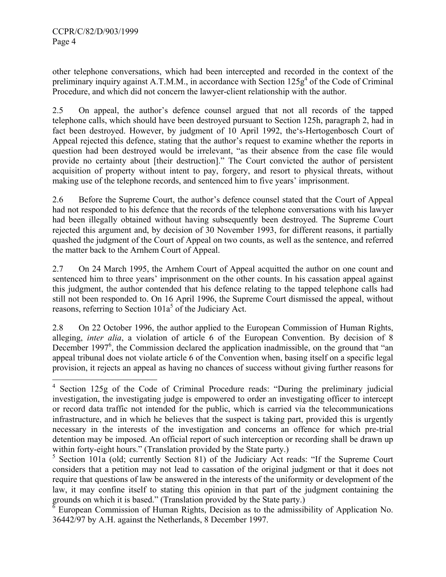$\overline{a}$ 

other telephone conversations, which had been intercepted and recorded in the context of the preliminary inquiry against A.T.M.M., in accordance with Section  $125g<sup>4</sup>$  of the Code of Criminal Procedure, and which did not concern the lawyer-client relationship with the author.

2.5 On appeal, the author's defence counsel argued that not all records of the tapped telephone calls, which should have been destroyed pursuant to Section 125h, paragraph 2, had in fact been destroyed. However, by judgment of 10 April 1992, the's-Hertogenbosch Court of Appeal rejected this defence, stating that the author's request to examine whether the reports in question had been destroyed would be irrelevant, "as their absence from the case file would provide no certainty about [their destruction]." The Court convicted the author of persistent acquisition of property without intent to pay, forgery, and resort to physical threats, without making use of the telephone records, and sentenced him to five years' imprisonment.

2.6 Before the Supreme Court, the author's defence counsel stated that the Court of Appeal had not responded to his defence that the records of the telephone conversations with his lawyer had been illegally obtained without having subsequently been destroyed. The Supreme Court rejected this argument and, by decision of 30 November 1993, for different reasons, it partially quashed the judgment of the Court of Appeal on two counts, as well as the sentence, and referred the matter back to the Arnhem Court of Appeal.

2.7 On 24 March 1995, the Arnhem Court of Appeal acquitted the author on one count and sentenced him to three years' imprisonment on the other counts. In his cassation appeal against this judgment, the author contended that his defence relating to the tapped telephone calls had still not been responded to. On 16 April 1996, the Supreme Court dismissed the appeal, without reasons, referring to Section  $101a^5$  of the Judiciary Act.

2.8 On 22 October 1996, the author applied to the European Commission of Human Rights, alleging, *inter alia*, a violation of article 6 of the European Convention. By decision of 8 December 1997<sup>6</sup>, the Commission declared the application inadmissible, on the ground that "an appeal tribunal does not violate article 6 of the Convention when, basing itself on a specific legal provision, it rejects an appeal as having no chances of success without giving further reasons for

<sup>&</sup>lt;sup>4</sup> Section 125g of the Code of Criminal Procedure reads: "During the preliminary judicial investigation, the investigating judge is empowered to order an investigating officer to intercept or record data traffic not intended for the public, which is carried via the telecommunications infrastructure, and in which he believes that the suspect is taking part, provided this is urgently necessary in the interests of the investigation and concerns an offence for which pre-trial detention may be imposed. An official report of such interception or recording shall be drawn up within forty-eight hours." (Translation provided by the State party.)

<sup>&</sup>lt;sup>5</sup> Section 101a (old; currently Section 81) of the Judiciary Act reads: "If the Supreme Court considers that a petition may not lead to cassation of the original judgment or that it does not require that questions of law be answered in the interests of the uniformity or development of the law, it may confine itself to stating this opinion in that part of the judgment containing the grounds on which it is based." (Translation provided by the State party.) 6 European Commission of Human Rights, Decision as to the admissibility of Application No.

<sup>36442/97</sup> by A.H. against the Netherlands, 8 December 1997.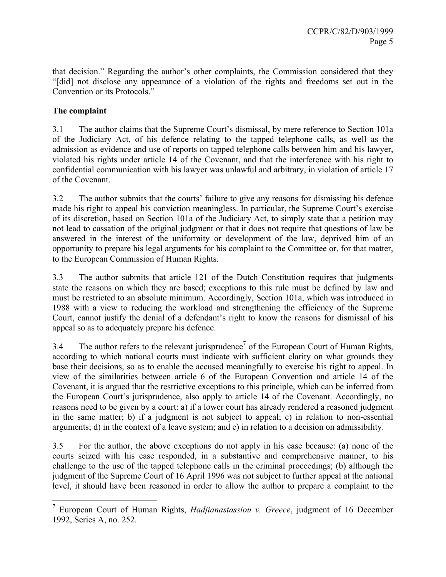that decision." Regarding the author's other complaints, the Commission considered that they "[did] not disclose any appearance of a violation of the rights and freedoms set out in the Convention or its Protocols."

# **The complaint**

3.1 The author claims that the Supreme Court's dismissal, by mere reference to Section 101a of the Judiciary Act, of his defence relating to the tapped telephone calls, as well as the admission as evidence and use of reports on tapped telephone calls between him and his lawyer, violated his rights under article 14 of the Covenant, and that the interference with his right to confidential communication with his lawyer was unlawful and arbitrary, in violation of article 17 of the Covenant.

3.2 The author submits that the courts' failure to give any reasons for dismissing his defence made his right to appeal his conviction meaningless. In particular, the Supreme Court's exercise of its discretion, based on Section 101a of the Judiciary Act, to simply state that a petition may not lead to cassation of the original judgment or that it does not require that questions of law be answered in the interest of the uniformity or development of the law, deprived him of an opportunity to prepare his legal arguments for his complaint to the Committee or, for that matter, to the European Commission of Human Rights.

3.3 The author submits that article 121 of the Dutch Constitution requires that judgments state the reasons on which they are based; exceptions to this rule must be defined by law and must be restricted to an absolute minimum. Accordingly, Section 101a, which was introduced in 1988 with a view to reducing the workload and strengthening the efficiency of the Supreme Court, cannot justify the denial of a defendant's right to know the reasons for dismissal of his appeal so as to adequately prepare his defence.

3.4 The author refers to the relevant jurisprudence<sup>7</sup> of the European Court of Human Rights, according to which national courts must indicate with sufficient clarity on what grounds they base their decisions, so as to enable the accused meaningfully to exercise his right to appeal. In view of the similarities between article 6 of the European Convention and article 14 of the Covenant, it is argued that the restrictive exceptions to this principle, which can be inferred from the European Court's jurisprudence, also apply to article 14 of the Covenant. Accordingly, no reasons need to be given by a court: a) if a lower court has already rendered a reasoned judgment in the same matter; b) if a judgment is not subject to appeal; c) in relation to non-essential arguments; d) in the context of a leave system; and e) in relation to a decision on admissibility.

3.5 For the author, the above exceptions do not apply in his case because: (a) none of the courts seized with his case responded, in a substantive and comprehensive manner, to his challenge to the use of the tapped telephone calls in the criminal proceedings; (b) although the judgment of the Supreme Court of 16 April 1996 was not subject to further appeal at the national level, it should have been reasoned in order to allow the author to prepare a complaint to the

 7 European Court of Human Rights, *Hadjianastassiou v. Greece*, judgment of 16 December 1992, Series A, no. 252.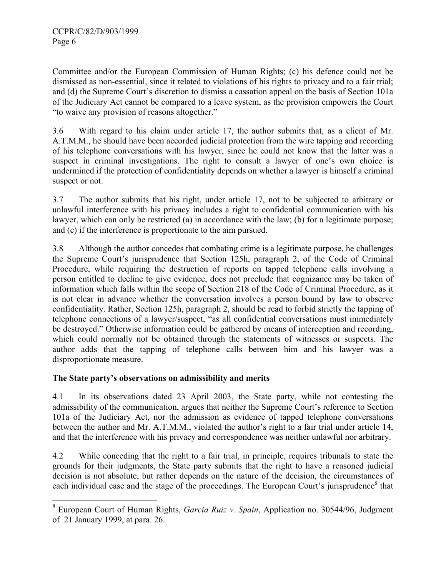Committee and/or the European Commission of Human Rights; (c) his defence could not be dismissed as non-essential, since it related to violations of his rights to privacy and to a fair trial; and (d) the Supreme Court's discretion to dismiss a cassation appeal on the basis of Section 101a of the Judiciary Act cannot be compared to a leave system, as the provision empowers the Court "to waive any provision of reasons altogether."

3.6 With regard to his claim under article 17, the author submits that, as a client of Mr. A.T.M.M., he should have been accorded judicial protection from the wire tapping and recording of his telephone conversations with his lawyer, since he could not know that the latter was a suspect in criminal investigations. The right to consult a lawyer of one's own choice is undermined if the protection of confidentiality depends on whether a lawyer is himself a criminal suspect or not.

3.7 The author submits that his right, under article 17, not to be subjected to arbitrary or unlawful interference with his privacy includes a right to confidential communication with his lawyer, which can only be restricted (a) in accordance with the law; (b) for a legitimate purpose; and (c) if the interference is proportionate to the aim pursued.

3.8 Although the author concedes that combating crime is a legitimate purpose, he challenges the Supreme Court's jurisprudence that Section 125h, paragraph 2, of the Code of Criminal Procedure, while requiring the destruction of reports on tapped telephone calls involving a person entitled to decline to give evidence, does not preclude that cognizance may be taken of information which falls within the scope of Section 218 of the Code of Criminal Procedure, as it is not clear in advance whether the conversation involves a person bound by law to observe confidentiality. Rather, Section 125h, paragraph 2, should be read to forbid strictly the tapping of telephone connections of a lawyer/suspect, "as all confidential conversations must immediately be destroyed." Otherwise information could be gathered by means of interception and recording, which could normally not be obtained through the statements of witnesses or suspects. The author adds that the tapping of telephone calls between him and his lawyer was a disproportionate measure.

## **The State party's observations on admissibility and merits**

4.1 In its observations dated 23 April 2003, the State party, while not contesting the admissibility of the communication, argues that neither the Supreme Court's reference to Section 101a of the Judiciary Act, nor the admission as evidence of tapped telephone conversations between the author and Mr. A.T.M.M., violated the author's right to a fair trial under article 14, and that the interference with his privacy and correspondence was neither unlawful nor arbitrary.

4.2 While conceding that the right to a fair trial, in principle, requires tribunals to state the grounds for their judgments, the State party submits that the right to have a reasoned judicial decision is not absolute, but rather depends on the nature of the decision, the circumstances of each individual case and the stage of the proceedings. The European Court's jurisprudence<sup>8</sup> that

 8 European Court of Human Rights, *Garcia Ruiz v. Spain*, Application no. 30544/96, Judgment of 21 January 1999, at para. 26.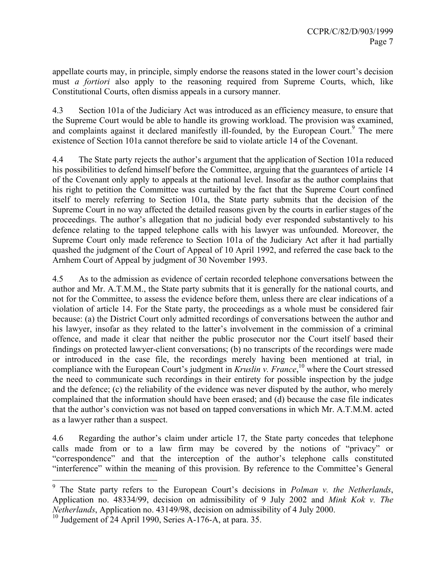appellate courts may, in principle, simply endorse the reasons stated in the lower court's decision must *a fortiori* also apply to the reasoning required from Supreme Courts, which, like Constitutional Courts, often dismiss appeals in a cursory manner.

4.3 Section 101a of the Judiciary Act was introduced as an efficiency measure, to ensure that the Supreme Court would be able to handle its growing workload. The provision was examined, and complaints against it declared manifestly ill-founded, by the European Court.<sup>9</sup> The mere existence of Section 101a cannot therefore be said to violate article 14 of the Covenant.

4.4 The State party rejects the author's argument that the application of Section 101a reduced his possibilities to defend himself before the Committee, arguing that the guarantees of article 14 of the Covenant only apply to appeals at the national level. Insofar as the author complains that his right to petition the Committee was curtailed by the fact that the Supreme Court confined itself to merely referring to Section 101a, the State party submits that the decision of the Supreme Court in no way affected the detailed reasons given by the courts in earlier stages of the proceedings. The author's allegation that no judicial body ever responded substantively to his defence relating to the tapped telephone calls with his lawyer was unfounded. Moreover, the Supreme Court only made reference to Section 101a of the Judiciary Act after it had partially quashed the judgment of the Court of Appeal of 10 April 1992, and referred the case back to the Arnhem Court of Appeal by judgment of 30 November 1993.

4.5 As to the admission as evidence of certain recorded telephone conversations between the author and Mr. A.T.M.M., the State party submits that it is generally for the national courts, and not for the Committee, to assess the evidence before them, unless there are clear indications of a violation of article 14. For the State party, the proceedings as a whole must be considered fair because: (a) the District Court only admitted recordings of conversations between the author and his lawyer, insofar as they related to the latter's involvement in the commission of a criminal offence, and made it clear that neither the public prosecutor nor the Court itself based their findings on protected lawyer-client conversations; (b) no transcripts of the recordings were made or introduced in the case file, the recordings merely having been mentioned at trial, in compliance with the European Court's judgment in *Kruslin v. France*, 10 where the Court stressed the need to communicate such recordings in their entirety for possible inspection by the judge and the defence; (c) the reliability of the evidence was never disputed by the author, who merely complained that the information should have been erased; and (d) because the case file indicates that the author's conviction was not based on tapped conversations in which Mr. A.T.M.M. acted as a lawyer rather than a suspect.

4.6 Regarding the author's claim under article 17, the State party concedes that telephone calls made from or to a law firm may be covered by the notions of "privacy" or "correspondence" and that the interception of the author's telephone calls constituted "interference" within the meaning of this provision. By reference to the Committee's General

 $\overline{a}$ 

<sup>9</sup> The State party refers to the European Court's decisions in *Polman v. the Netherlands*, Application no. 48334/99, decision on admissibility of 9 July 2002 and *Mink Kok v. The Netherlands*, Application no. 43149/98, decision on admissibility of 4 July 2000.

 $10$  Judgement of 24 April 1990, Series A-176-A, at para. 35.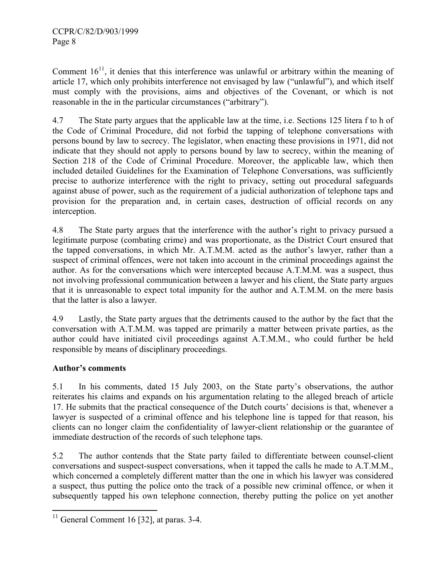Comment  $16<sup>11</sup>$ , it denies that this interference was unlawful or arbitrary within the meaning of article 17, which only prohibits interference not envisaged by law ("unlawful"), and which itself must comply with the provisions, aims and objectives of the Covenant, or which is not reasonable in the in the particular circumstances ("arbitrary").

4.7 The State party argues that the applicable law at the time, i.e. Sections 125 litera f to h of the Code of Criminal Procedure, did not forbid the tapping of telephone conversations with persons bound by law to secrecy. The legislator, when enacting these provisions in 1971, did not indicate that they should not apply to persons bound by law to secrecy, within the meaning of Section 218 of the Code of Criminal Procedure. Moreover, the applicable law, which then included detailed Guidelines for the Examination of Telephone Conversations, was sufficiently precise to authorize interference with the right to privacy, setting out procedural safeguards against abuse of power, such as the requirement of a judicial authorization of telephone taps and provision for the preparation and, in certain cases, destruction of official records on any interception.

4.8 The State party argues that the interference with the author's right to privacy pursued a legitimate purpose (combating crime) and was proportionate, as the District Court ensured that the tapped conversations, in which Mr. A.T.M.M. acted as the author's lawyer, rather than a suspect of criminal offences, were not taken into account in the criminal proceedings against the author. As for the conversations which were intercepted because A.T.M.M. was a suspect, thus not involving professional communication between a lawyer and his client, the State party argues that it is unreasonable to expect total impunity for the author and A.T.M.M. on the mere basis that the latter is also a lawyer.

4.9 Lastly, the State party argues that the detriments caused to the author by the fact that the conversation with A.T.M.M. was tapped are primarily a matter between private parties, as the author could have initiated civil proceedings against A.T.M.M., who could further be held responsible by means of disciplinary proceedings.

## **Author's comments**

5.1 In his comments, dated 15 July 2003, on the State party's observations, the author reiterates his claims and expands on his argumentation relating to the alleged breach of article 17. He submits that the practical consequence of the Dutch courts' decisions is that, whenever a lawyer is suspected of a criminal offence and his telephone line is tapped for that reason, his clients can no longer claim the confidentiality of lawyer-client relationship or the guarantee of immediate destruction of the records of such telephone taps.

5.2 The author contends that the State party failed to differentiate between counsel-client conversations and suspect-suspect conversations, when it tapped the calls he made to A.T.M.M., which concerned a completely different matter than the one in which his lawyer was considered a suspect, thus putting the police onto the track of a possible new criminal offence, or when it subsequently tapped his own telephone connection, thereby putting the police on yet another

 $\overline{a}$  $11$  General Comment 16 [32], at paras. 3-4.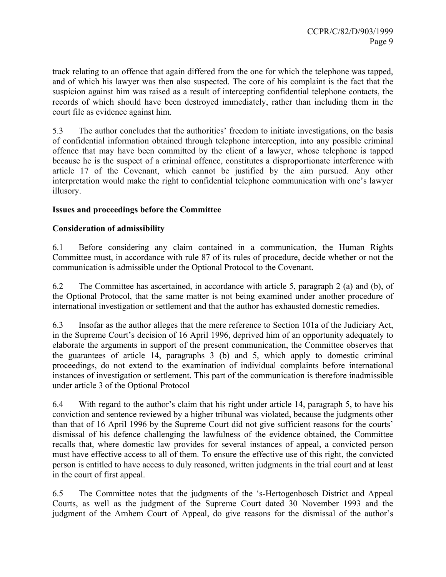track relating to an offence that again differed from the one for which the telephone was tapped, and of which his lawyer was then also suspected. The core of his complaint is the fact that the suspicion against him was raised as a result of intercepting confidential telephone contacts, the records of which should have been destroyed immediately, rather than including them in the court file as evidence against him.

5.3 The author concludes that the authorities' freedom to initiate investigations, on the basis of confidential information obtained through telephone interception, into any possible criminal offence that may have been committed by the client of a lawyer, whose telephone is tapped because he is the suspect of a criminal offence, constitutes a disproportionate interference with article 17 of the Covenant, which cannot be justified by the aim pursued. Any other interpretation would make the right to confidential telephone communication with one's lawyer illusory.

#### **Issues and proceedings before the Committee**

#### **Consideration of admissibility**

6.1 Before considering any claim contained in a communication, the Human Rights Committee must, in accordance with rule 87 of its rules of procedure, decide whether or not the communication is admissible under the Optional Protocol to the Covenant.

6.2 The Committee has ascertained, in accordance with article 5, paragraph 2 (a) and (b), of the Optional Protocol, that the same matter is not being examined under another procedure of international investigation or settlement and that the author has exhausted domestic remedies.

6.3 Insofar as the author alleges that the mere reference to Section 101a of the Judiciary Act, in the Supreme Court's decision of 16 April 1996, deprived him of an opportunity adequately to elaborate the arguments in support of the present communication, the Committee observes that the guarantees of article 14, paragraphs 3 (b) and 5, which apply to domestic criminal proceedings, do not extend to the examination of individual complaints before international instances of investigation or settlement. This part of the communication is therefore inadmissible under article 3 of the Optional Protocol

6.4 With regard to the author's claim that his right under article 14, paragraph 5, to have his conviction and sentence reviewed by a higher tribunal was violated, because the judgments other than that of 16 April 1996 by the Supreme Court did not give sufficient reasons for the courts' dismissal of his defence challenging the lawfulness of the evidence obtained, the Committee recalls that, where domestic law provides for several instances of appeal, a convicted person must have effective access to all of them. To ensure the effective use of this right, the convicted person is entitled to have access to duly reasoned, written judgments in the trial court and at least in the court of first appeal.

6.5 The Committee notes that the judgments of the 's-Hertogenbosch District and Appeal Courts, as well as the judgment of the Supreme Court dated 30 November 1993 and the judgment of the Arnhem Court of Appeal, do give reasons for the dismissal of the author's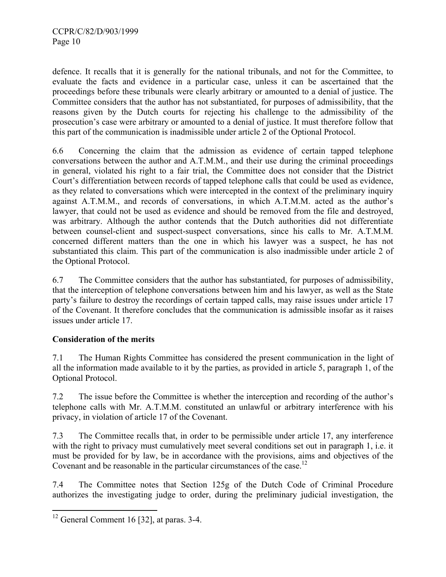defence. It recalls that it is generally for the national tribunals, and not for the Committee, to evaluate the facts and evidence in a particular case, unless it can be ascertained that the proceedings before these tribunals were clearly arbitrary or amounted to a denial of justice. The Committee considers that the author has not substantiated, for purposes of admissibility, that the reasons given by the Dutch courts for rejecting his challenge to the admissibility of the prosecution's case were arbitrary or amounted to a denial of justice. It must therefore follow that this part of the communication is inadmissible under article 2 of the Optional Protocol.

6.6 Concerning the claim that the admission as evidence of certain tapped telephone conversations between the author and A.T.M.M., and their use during the criminal proceedings in general, violated his right to a fair trial, the Committee does not consider that the District Court's differentiation between records of tapped telephone calls that could be used as evidence, as they related to conversations which were intercepted in the context of the preliminary inquiry against A.T.M.M., and records of conversations, in which A.T.M.M. acted as the author's lawyer, that could not be used as evidence and should be removed from the file and destroyed, was arbitrary. Although the author contends that the Dutch authorities did not differentiate between counsel-client and suspect-suspect conversations, since his calls to Mr. A.T.M.M. concerned different matters than the one in which his lawyer was a suspect, he has not substantiated this claim. This part of the communication is also inadmissible under article 2 of the Optional Protocol.

6.7 The Committee considers that the author has substantiated, for purposes of admissibility, that the interception of telephone conversations between him and his lawyer, as well as the State party's failure to destroy the recordings of certain tapped calls, may raise issues under article 17 of the Covenant. It therefore concludes that the communication is admissible insofar as it raises issues under article 17.

## **Consideration of the merits**

7.1 The Human Rights Committee has considered the present communication in the light of all the information made available to it by the parties, as provided in article 5, paragraph 1, of the Optional Protocol.

7.2 The issue before the Committee is whether the interception and recording of the author's telephone calls with Mr. A.T.M.M. constituted an unlawful or arbitrary interference with his privacy, in violation of article 17 of the Covenant.

7.3 The Committee recalls that, in order to be permissible under article 17, any interference with the right to privacy must cumulatively meet several conditions set out in paragraph 1, i.e. it must be provided for by law, be in accordance with the provisions, aims and objectives of the Covenant and be reasonable in the particular circumstances of the case.<sup>12</sup>

7.4 The Committee notes that Section 125g of the Dutch Code of Criminal Procedure authorizes the investigating judge to order, during the preliminary judicial investigation, the

 $\overline{a}$  $12$  General Comment 16 [32], at paras. 3-4.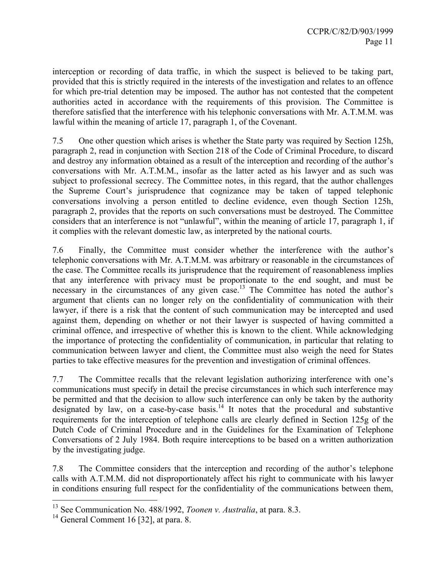interception or recording of data traffic, in which the suspect is believed to be taking part, provided that this is strictly required in the interests of the investigation and relates to an offence for which pre-trial detention may be imposed. The author has not contested that the competent authorities acted in accordance with the requirements of this provision. The Committee is therefore satisfied that the interference with his telephonic conversations with Mr. A.T.M.M. was lawful within the meaning of article 17, paragraph 1, of the Covenant.

7.5 One other question which arises is whether the State party was required by Section 125h, paragraph 2, read in conjunction with Section 218 of the Code of Criminal Procedure, to discard and destroy any information obtained as a result of the interception and recording of the author's conversations with Mr. A.T.M.M., insofar as the latter acted as his lawyer and as such was subject to professional secrecy. The Committee notes, in this regard, that the author challenges the Supreme Court's jurisprudence that cognizance may be taken of tapped telephonic conversations involving a person entitled to decline evidence, even though Section 125h, paragraph 2, provides that the reports on such conversations must be destroyed. The Committee considers that an interference is not "unlawful", within the meaning of article 17, paragraph 1, if it complies with the relevant domestic law, as interpreted by the national courts.

7.6 Finally, the Committee must consider whether the interference with the author's telephonic conversations with Mr. A.T.M.M. was arbitrary or reasonable in the circumstances of the case. The Committee recalls its jurisprudence that the requirement of reasonableness implies that any interference with privacy must be proportionate to the end sought, and must be necessary in the circumstances of any given case.<sup>13</sup> The Committee has noted the author's argument that clients can no longer rely on the confidentiality of communication with their lawyer, if there is a risk that the content of such communication may be intercepted and used against them, depending on whether or not their lawyer is suspected of having committed a criminal offence, and irrespective of whether this is known to the client. While acknowledging the importance of protecting the confidentiality of communication, in particular that relating to communication between lawyer and client, the Committee must also weigh the need for States parties to take effective measures for the prevention and investigation of criminal offences.

7.7 The Committee recalls that the relevant legislation authorizing interference with one's communications must specify in detail the precise circumstances in which such interference may be permitted and that the decision to allow such interference can only be taken by the authority designated by law, on a case-by-case basis.<sup>14</sup> It notes that the procedural and substantive requirements for the interception of telephone calls are clearly defined in Section 125g of the Dutch Code of Criminal Procedure and in the Guidelines for the Examination of Telephone Conversations of 2 July 1984. Both require interceptions to be based on a written authorization by the investigating judge.

7.8 The Committee considers that the interception and recording of the author's telephone calls with A.T.M.M. did not disproportionately affect his right to communicate with his lawyer in conditions ensuring full respect for the confidentiality of the communications between them,

 $\overline{a}$ 

<sup>13</sup> See Communication No. 488/1992, *Toonen v. Australia*, at para. 8.3.

 $14$  General Comment 16 [32], at para. 8.